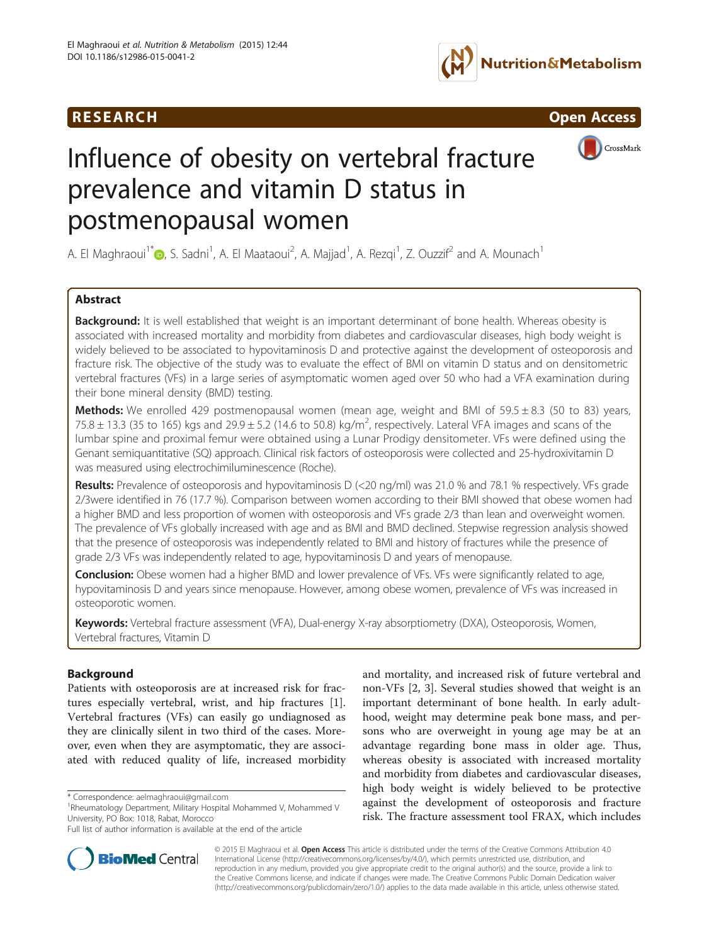



CrossMark

# Influence of obesity on vertebral fracture prevalence and vitamin D status in postmenopausal women

A. El Maghraoui<sup>1[\\*](http://orcid.org/0000-0003-0668-5680)</sup>�, S. Sadni<sup>1</sup>, A. El Maataoui<sup>2</sup>, A. Majjad<sup>1</sup>, A. Rezqi<sup>1</sup>, Z. Ouzzif<sup>2</sup> and A. Mounach<sup>1</sup>

# Abstract

Background: It is well established that weight is an important determinant of bone health. Whereas obesity is associated with increased mortality and morbidity from diabetes and cardiovascular diseases, high body weight is widely believed to be associated to hypovitaminosis D and protective against the development of osteoporosis and fracture risk. The objective of the study was to evaluate the effect of BMI on vitamin D status and on densitometric vertebral fractures (VFs) in a large series of asymptomatic women aged over 50 who had a VFA examination during their bone mineral density (BMD) testing.

**Methods:** We enrolled 429 postmenopausal women (mean age, weight and BMI of  $59.5 \pm 8.3$  (50 to 83) years, 75.8  $\pm$  13.3 (35 to 165) kgs and 29.9  $\pm$  5.2 (14.6 to 50.8) kg/m<sup>2</sup>, respectively. Lateral VFA images and scans of the lumbar spine and proximal femur were obtained using a Lunar Prodigy densitometer. VFs were defined using the Genant semiquantitative (SQ) approach. Clinical risk factors of osteoporosis were collected and 25-hydroxivitamin D was measured using electrochimiluminescence (Roche).

Results: Prevalence of osteoporosis and hypovitaminosis D (<20 ng/ml) was 21.0 % and 78.1 % respectively. VFs grade 2/3were identified in 76 (17.7 %). Comparison between women according to their BMI showed that obese women had a higher BMD and less proportion of women with osteoporosis and VFs grade 2/3 than lean and overweight women. The prevalence of VFs globally increased with age and as BMI and BMD declined. Stepwise regression analysis showed that the presence of osteoporosis was independently related to BMI and history of fractures while the presence of grade 2/3 VFs was independently related to age, hypovitaminosis D and years of menopause.

Conclusion: Obese women had a higher BMD and lower prevalence of VFs. VFs were significantly related to age, hypovitaminosis D and years since menopause. However, among obese women, prevalence of VFs was increased in osteoporotic women.

Keywords: Vertebral fracture assessment (VFA), Dual-energy X-ray absorptiometry (DXA), Osteoporosis, Women, Vertebral fractures, Vitamin D

# **Background**

Patients with osteoporosis are at increased risk for fractures especially vertebral, wrist, and hip fractures [\[1](#page-5-0)]. Vertebral fractures (VFs) can easily go undiagnosed as they are clinically silent in two third of the cases. Moreover, even when they are asymptomatic, they are associated with reduced quality of life, increased morbidity

and mortality, and increased risk of future vertebral and non-VFs [\[2](#page-5-0), [3\]](#page-5-0). Several studies showed that weight is an important determinant of bone health. In early adulthood, weight may determine peak bone mass, and persons who are overweight in young age may be at an advantage regarding bone mass in older age. Thus, whereas obesity is associated with increased mortality and morbidity from diabetes and cardiovascular diseases, high body weight is widely believed to be protective against the development of osteoporosis and fracture risk. The fracture assessment tool FRAX, which includes



© 2015 El Maghraoui et al. Open Access This article is distributed under the terms of the Creative Commons Attribution 4.0 International License [\(http://creativecommons.org/licenses/by/4.0/](http://creativecommons.org/licenses/by/4.0/)), which permits unrestricted use, distribution, and reproduction in any medium, provided you give appropriate credit to the original author(s) and the source, provide a link to the Creative Commons license, and indicate if changes were made. The Creative Commons Public Domain Dedication waiver [\(http://creativecommons.org/publicdomain/zero/1.0/](http://creativecommons.org/publicdomain/zero/1.0/)) applies to the data made available in this article, unless otherwise stated.

<sup>\*</sup> Correspondence: [aelmaghraoui@gmail.com](mailto:aelmaghraoui@gmail.com) <sup>1</sup>

<sup>&</sup>lt;sup>1</sup>Rheumatology Department, Military Hospital Mohammed V, Mohammed V University, PO Box: 1018, Rabat, Morocco

Full list of author information is available at the end of the article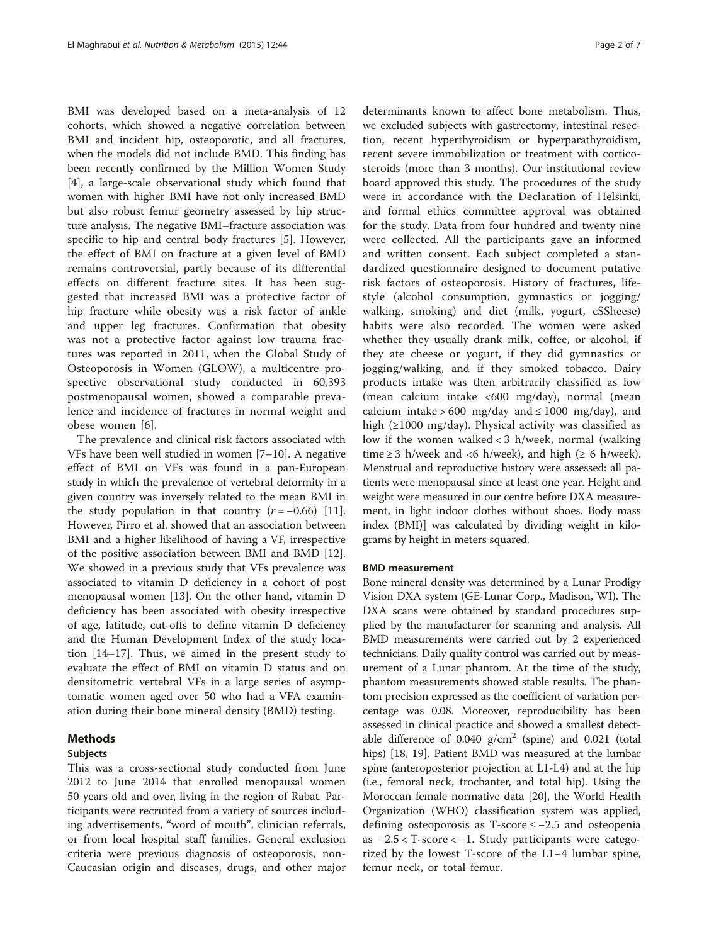BMI was developed based on a meta-analysis of 12 cohorts, which showed a negative correlation between BMI and incident hip, osteoporotic, and all fractures, when the models did not include BMD. This finding has been recently confirmed by the Million Women Study [[4\]](#page-5-0), a large-scale observational study which found that women with higher BMI have not only increased BMD but also robust femur geometry assessed by hip structure analysis. The negative BMI–fracture association was specific to hip and central body fractures [\[5](#page-5-0)]. However, the effect of BMI on fracture at a given level of BMD remains controversial, partly because of its differential effects on different fracture sites. It has been suggested that increased BMI was a protective factor of hip fracture while obesity was a risk factor of ankle and upper leg fractures. Confirmation that obesity was not a protective factor against low trauma fractures was reported in 2011, when the Global Study of Osteoporosis in Women (GLOW), a multicentre prospective observational study conducted in 60,393 postmenopausal women, showed a comparable prevalence and incidence of fractures in normal weight and obese women [\[6](#page-5-0)].

The prevalence and clinical risk factors associated with VFs have been well studied in women [\[7](#page-5-0)–[10\]](#page-5-0). A negative effect of BMI on VFs was found in a pan-European study in which the prevalence of vertebral deformity in a given country was inversely related to the mean BMI in the study population in that country  $(r = -0.66)$  [\[11](#page-5-0)]. However, Pirro et al. showed that an association between BMI and a higher likelihood of having a VF, irrespective of the positive association between BMI and BMD [\[12](#page-5-0)]. We showed in a previous study that VFs prevalence was associated to vitamin D deficiency in a cohort of post menopausal women [[13\]](#page-6-0). On the other hand, vitamin D deficiency has been associated with obesity irrespective of age, latitude, cut-offs to define vitamin D deficiency and the Human Development Index of the study location [[14](#page-6-0)–[17](#page-6-0)]. Thus, we aimed in the present study to evaluate the effect of BMI on vitamin D status and on densitometric vertebral VFs in a large series of asymptomatic women aged over 50 who had a VFA examination during their bone mineral density (BMD) testing.

# Methods

# Subjects

This was a cross-sectional study conducted from June 2012 to June 2014 that enrolled menopausal women 50 years old and over, living in the region of Rabat. Participants were recruited from a variety of sources including advertisements, "word of mouth", clinician referrals, or from local hospital staff families. General exclusion criteria were previous diagnosis of osteoporosis, non-Caucasian origin and diseases, drugs, and other major

determinants known to affect bone metabolism. Thus, we excluded subjects with gastrectomy, intestinal resection, recent hyperthyroidism or hyperparathyroidism, recent severe immobilization or treatment with corticosteroids (more than 3 months). Our institutional review board approved this study. The procedures of the study were in accordance with the Declaration of Helsinki, and formal ethics committee approval was obtained for the study. Data from four hundred and twenty nine were collected. All the participants gave an informed and written consent. Each subject completed a standardized questionnaire designed to document putative risk factors of osteoporosis. History of fractures, lifestyle (alcohol consumption, gymnastics or jogging/ walking, smoking) and diet (milk, yogurt, cSSheese) habits were also recorded. The women were asked whether they usually drank milk, coffee, or alcohol, if they ate cheese or yogurt, if they did gymnastics or jogging/walking, and if they smoked tobacco. Dairy products intake was then arbitrarily classified as low (mean calcium intake <600 mg/day), normal (mean calcium intake > 600 mg/day and  $\leq 1000$  mg/day), and high (≥1000 mg/day). Physical activity was classified as low if the women walked < 3 h/week, normal (walking time  $\geq$  3 h/week and <6 h/week), and high ( $\geq$  6 h/week). Menstrual and reproductive history were assessed: all patients were menopausal since at least one year. Height and weight were measured in our centre before DXA measurement, in light indoor clothes without shoes. Body mass index (BMI)] was calculated by dividing weight in kilograms by height in meters squared.

#### BMD measurement

Bone mineral density was determined by a Lunar Prodigy Vision DXA system (GE-Lunar Corp., Madison, WI). The DXA scans were obtained by standard procedures supplied by the manufacturer for scanning and analysis. All BMD measurements were carried out by 2 experienced technicians. Daily quality control was carried out by measurement of a Lunar phantom. At the time of the study, phantom measurements showed stable results. The phantom precision expressed as the coefficient of variation percentage was 0.08. Moreover, reproducibility has been assessed in clinical practice and showed a smallest detectable difference of  $0.040$  g/cm<sup>2</sup> (spine) and  $0.021$  (total hips) [\[18, 19\]](#page-6-0). Patient BMD was measured at the lumbar spine (anteroposterior projection at L1-L4) and at the hip (i.e., femoral neck, trochanter, and total hip). Using the Moroccan female normative data [\[20\]](#page-6-0), the World Health Organization (WHO) classification system was applied, defining osteoporosis as T-score ≤ −2.5 and osteopenia as −2.5 < T-score < −1. Study participants were categorized by the lowest T-score of the L1–4 lumbar spine, femur neck, or total femur.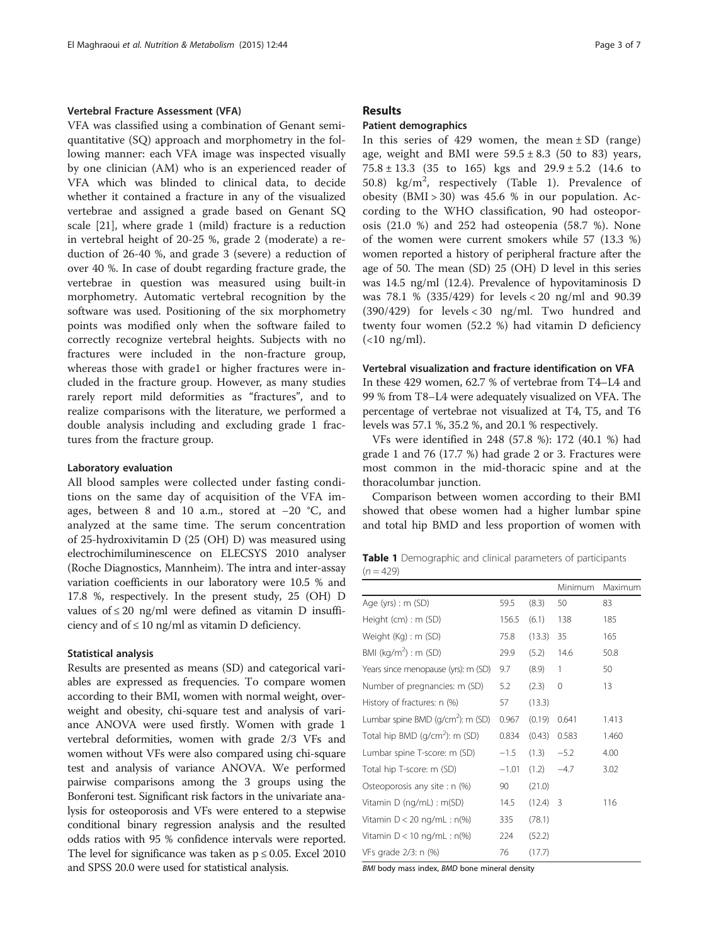#### Vertebral Fracture Assessment (VFA)

VFA was classified using a combination of Genant semiquantitative (SQ) approach and morphometry in the following manner: each VFA image was inspected visually by one clinician (AM) who is an experienced reader of VFA which was blinded to clinical data, to decide whether it contained a fracture in any of the visualized vertebrae and assigned a grade based on Genant SQ scale [[21](#page-6-0)], where grade 1 (mild) fracture is a reduction in vertebral height of 20-25 %, grade 2 (moderate) a reduction of 26-40 %, and grade 3 (severe) a reduction of over 40 %. In case of doubt regarding fracture grade, the vertebrae in question was measured using built-in morphometry. Automatic vertebral recognition by the software was used. Positioning of the six morphometry points was modified only when the software failed to correctly recognize vertebral heights. Subjects with no fractures were included in the non-fracture group, whereas those with grade1 or higher fractures were included in the fracture group. However, as many studies rarely report mild deformities as "fractures", and to realize comparisons with the literature, we performed a double analysis including and excluding grade 1 fractures from the fracture group.

#### Laboratory evaluation

All blood samples were collected under fasting conditions on the same day of acquisition of the VFA images, between 8 and 10 a.m., stored at −20 °C, and analyzed at the same time. The serum concentration of 25-hydroxivitamin D (25 (OH) D) was measured using electrochimiluminescence on ELECSYS 2010 analyser (Roche Diagnostics, Mannheim). The intra and inter-assay variation coefficients in our laboratory were 10.5 % and 17.8 %, respectively. In the present study, 25 (OH) D values of  $\leq 20$  ng/ml were defined as vitamin D insufficiency and of  $\leq 10$  ng/ml as vitamin D deficiency.

## Statistical analysis

Results are presented as means (SD) and categorical variables are expressed as frequencies. To compare women according to their BMI, women with normal weight, overweight and obesity, chi-square test and analysis of variance ANOVA were used firstly. Women with grade 1 vertebral deformities, women with grade 2/3 VFs and women without VFs were also compared using chi-square test and analysis of variance ANOVA. We performed pairwise comparisons among the 3 groups using the Bonferoni test. Significant risk factors in the univariate analysis for osteoporosis and VFs were entered to a stepwise conditional binary regression analysis and the resulted odds ratios with 95 % confidence intervals were reported. The level for significance was taken as  $p \le 0.05$ . Excel 2010 and SPSS 20.0 were used for statistical analysis.

#### Results

#### Patient demographics

In this series of 429 women, the mean  $\pm$  SD (range) age, weight and BMI were  $59.5 \pm 8.3$  (50 to 83) years,  $75.8 \pm 13.3$  (35 to 165) kgs and  $29.9 \pm 5.2$  (14.6 to 50.8)  $\text{kg/m}^2$ , respectively (Table 1). Prevalence of obesity  $(BMI > 30)$  was 45.6 % in our population. According to the WHO classification, 90 had osteoporosis (21.0 %) and 252 had osteopenia (58.7 %). None of the women were current smokers while 57 (13.3 %) women reported a history of peripheral fracture after the age of 50. The mean (SD) 25 (OH) D level in this series was 14.5 ng/ml (12.4). Prevalence of hypovitaminosis D was 78.1 % (335/429) for levels < 20 ng/ml and 90.39 (390/429) for levels < 30 ng/ml. Two hundred and twenty four women (52.2 %) had vitamin D deficiency  $(<10$  ng/ml).

#### Vertebral visualization and fracture identification on VFA

In these 429 women, 62.7 % of vertebrae from T4–L4 and 99 % from T8–L4 were adequately visualized on VFA. The percentage of vertebrae not visualized at T4, T5, and T6 levels was 57.1 %, 35.2 %, and 20.1 % respectively.

VFs were identified in 248 (57.8 %): 172 (40.1 %) had grade 1 and 76 (17.7 %) had grade 2 or 3. Fractures were most common in the mid-thoracic spine and at the thoracolumbar junction.

Comparison between women according to their BMI showed that obese women had a higher lumbar spine and total hip BMD and less proportion of women with

Table 1 Demographic and clinical parameters of participants  $(n = 429)$ 

|                                               |         |        | Minimum        | Maximum |
|-----------------------------------------------|---------|--------|----------------|---------|
| Age (yrs) : $m$ (SD)                          | 59.5    | (8.3)  | 50             | 83      |
| Height (cm) : m (SD)                          | 156.5   | (6.1)  | 138            | 185     |
| Weight (Kg) : m (SD)                          | 75.8    | (13.3) | 35             | 165     |
| BMI ( $kg/m^2$ ) : m (SD)                     | 29.9    | (5.2)  | 14.6           | 50.8    |
| Years since menopause (yrs): m (SD)           | 9.7     | (8.9)  | 1              | 50      |
| Number of pregnancies: m (SD)                 | 5.2     | (2.3)  | 0              | 13      |
| History of fractures: n (%)                   | 57      | (13.3) |                |         |
| Lumbar spine BMD (g/cm <sup>2</sup> ): m (SD) | 0.967   | (0.19) | 0.641          | 1.413   |
| Total hip BMD (g/cm <sup>2</sup> ): m (SD)    | 0.834   | (0.43) | 0.583          | 1.460   |
| Lumbar spine T-score: m (SD)                  | $-1.5$  | (1.3)  | $-5.2$         | 4.00    |
| Total hip T-score: m (SD)                     | $-1.01$ | (1.2)  | $-4.7$         | 3.02    |
| Osteoporosis any site : n (%)                 | 90      | (21.0) |                |         |
| Vitamin D (ng/mL) : m(SD)                     | 14.5    | (12.4) | $\overline{3}$ | 116     |
| Vitamin $D < 20$ ng/mL : n(%)                 | 335     | (78.1) |                |         |
| Vitamin $D < 10$ ng/mL : n(%)                 | 224     | (52.2) |                |         |
| VFs grade 2/3: n (%)                          | 76      | (17.7) |                |         |

BMI body mass index, BMD bone mineral density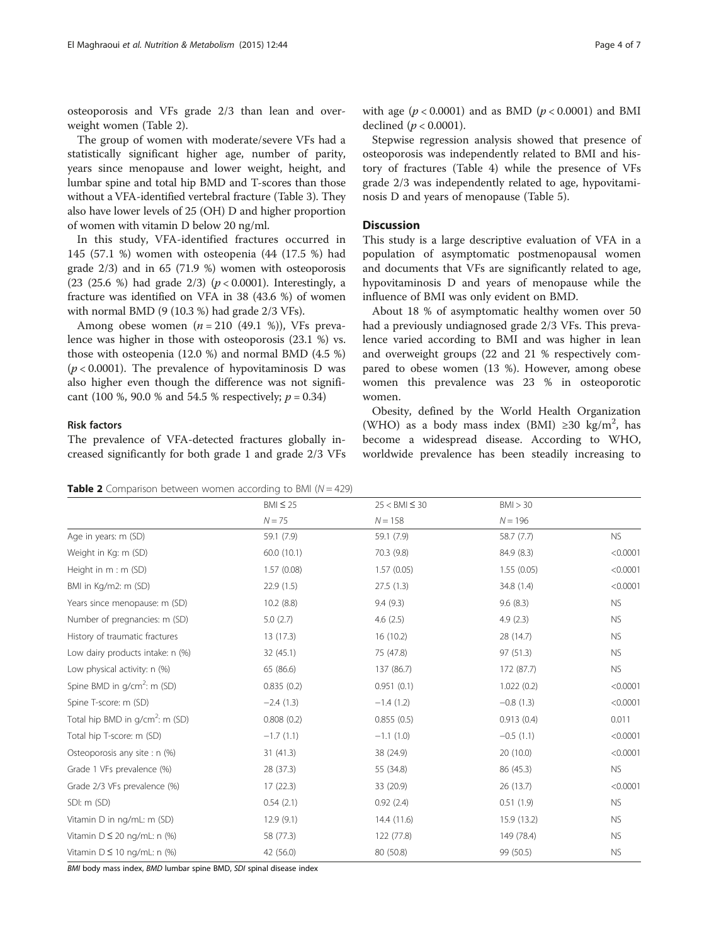osteoporosis and VFs grade 2/3 than lean and overweight women (Table 2).

The group of women with moderate/severe VFs had a statistically significant higher age, number of parity, years since menopause and lower weight, height, and lumbar spine and total hip BMD and T-scores than those without a VFA-identified vertebral fracture (Table [3](#page-4-0)). They also have lower levels of 25 (OH) D and higher proportion of women with vitamin D below 20 ng/ml.

In this study, VFA-identified fractures occurred in 145 (57.1 %) women with osteopenia (44 (17.5 %) had grade 2/3) and in 65 (71.9 %) women with osteoporosis (23 (25.6 %) had grade  $2/3$ ) ( $p < 0.0001$ ). Interestingly, a fracture was identified on VFA in 38 (43.6 %) of women with normal BMD (9 (10.3 %) had grade 2/3 VFs).

Among obese women  $(n = 210 (49.1 %))$ , VFs prevalence was higher in those with osteoporosis (23.1 %) vs. those with osteopenia (12.0 %) and normal BMD (4.5 %)  $(p < 0.0001)$ . The prevalence of hypovitaminosis D was also higher even though the difference was not significant (100 %, 90.0 % and 54.5 % respectively;  $p = 0.34$ )

#### Risk factors

The prevalence of VFA-detected fractures globally increased significantly for both grade 1 and grade 2/3 VFs

with age  $(p < 0.0001)$  and as BMD  $(p < 0.0001)$  and BMI declined ( $p < 0.0001$ ).

Stepwise regression analysis showed that presence of osteoporosis was independently related to BMI and history of fractures (Table [4\)](#page-4-0) while the presence of VFs grade 2/3 was independently related to age, hypovitaminosis D and years of menopause (Table [5](#page-4-0)).

# **Discussion**

This study is a large descriptive evaluation of VFA in a population of asymptomatic postmenopausal women and documents that VFs are significantly related to age, hypovitaminosis D and years of menopause while the influence of BMI was only evident on BMD.

About 18 % of asymptomatic healthy women over 50 had a previously undiagnosed grade 2/3 VFs. This prevalence varied according to BMI and was higher in lean and overweight groups (22 and 21 % respectively compared to obese women (13 %). However, among obese women this prevalence was 23 % in osteoporotic women.

Obesity, defined by the World Health Organization (WHO) as a body mass index (BMI) ≥30 kg/m<sup>2</sup>, has become a widespread disease. According to WHO, worldwide prevalence has been steadily increasing to

**Table 2** Comparison between women according to BMI ( $N = 429$ )

|                                         | $BMI \leq 25$ | $25 <$ BMI $\leq 30$ | BM > 30     |           |
|-----------------------------------------|---------------|----------------------|-------------|-----------|
|                                         | $N = 75$      | $N = 158$            | $N = 196$   |           |
| Age in years: m (SD)                    | 59.1 (7.9)    | 59.1 (7.9)           | 58.7(7.7)   | <b>NS</b> |
| Weight in Kg: m (SD)                    | 60.0 (10.1)   | 70.3 (9.8)           | 84.9 (8.3)  | < 0.0001  |
| Height in m : m (SD)                    | 1.57(0.08)    | 1.57(0.05)           | 1.55(0.05)  | < 0.0001  |
| BMI in Kg/m2: m (SD)                    | 22.9(1.5)     | 27.5(1.3)            | 34.8 (1.4)  | < 0.0001  |
| Years since menopause: m (SD)           | 10.2(8.8)     | 9.4(9.3)             | 9.6(8.3)    | <b>NS</b> |
| Number of pregnancies: m (SD)           | 5.0(2.7)      | 4.6(2.5)             | 4.9(2.3)    | <b>NS</b> |
| History of traumatic fractures          | 13 (17.3)     | 16(10.2)             | 28 (14.7)   | <b>NS</b> |
| Low dairy products intake: n (%)        | 32 (45.1)     | 75 (47.8)            | 97 (51.3)   | <b>NS</b> |
| Low physical activity: n (%)            | 65 (86.6)     | 137 (86.7)           | 172 (87.7)  | <b>NS</b> |
| Spine BMD in g/cm <sup>2</sup> : m (SD) | 0.835(0.2)    | 0.951(0.1)           | 1.022(0.2)  | < 0.0001  |
| Spine T-score: m (SD)                   | $-2.4(1.3)$   | $-1.4(1.2)$          | $-0.8(1.3)$ | < 0.0001  |
| Total hip BMD in $g/cm^2$ : m (SD)      | 0.808(0.2)    | 0.855(0.5)           | 0.913(0.4)  | 0.011     |
| Total hip T-score: m (SD)               | $-1.7(1.1)$   | $-1.1(1.0)$          | $-0.5(1.1)$ | < 0.0001  |
| Osteoporosis any site : n (%)           | 31(41.3)      | 38 (24.9)            | 20 (10.0)   | < 0.0001  |
| Grade 1 VFs prevalence (%)              | 28 (37.3)     | 55 (34.8)            | 86 (45.3)   | <b>NS</b> |
| Grade 2/3 VFs prevalence (%)            | 17(22.3)      | 33 (20.9)            | 26 (13.7)   | < 0.0001  |
| SDI: m (SD)                             | 0.54(2.1)     | 0.92(2.4)            | 0.51(1.9)   | <b>NS</b> |
| Vitamin D in ng/mL: m (SD)              | 12.9(9.1)     | 14.4(11.6)           | 15.9 (13.2) | <b>NS</b> |
| Vitamin $D \le 20$ ng/mL: n (%)         | 58 (77.3)     | 122 (77.8)           | 149 (78.4)  | <b>NS</b> |
| Vitamin $D \le 10$ ng/mL: n (%)         | 42 (56.0)     | 80 (50.8)            | 99 (50.5)   | <b>NS</b> |

BMI body mass index, BMD lumbar spine BMD, SDI spinal disease index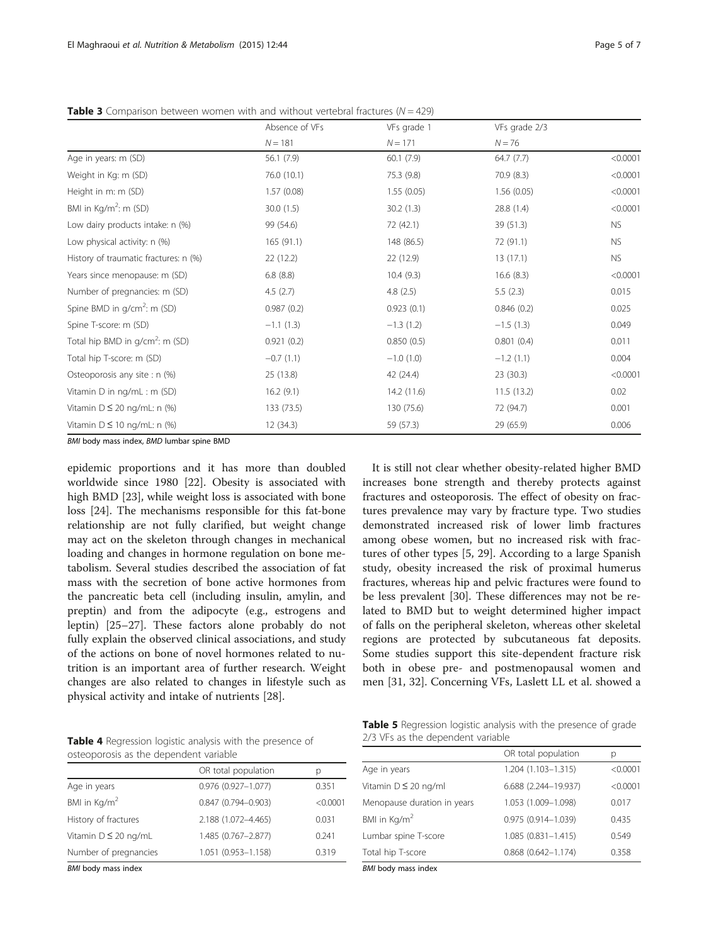|                                       | Absence of VFs | VFs grade 1 | VFs grade 2/3 |           |
|---------------------------------------|----------------|-------------|---------------|-----------|
|                                       | $N = 181$      | $N = 171$   | $N = 76$      |           |
| Age in years: m (SD)                  | 56.1(7.9)      | 60.1(7.9)   | 64.7(7.7)     | < 0.0001  |
| Weight in Kg: m (SD)                  | 76.0 (10.1)    | 75.3 (9.8)  | 70.9 (8.3)    | < 0.0001  |
| Height in m: m (SD)                   | 1.57(0.08)     | 1.55(0.05)  | 1.56(0.05)    | < 0.0001  |
| BMI in Kg/m <sup>2</sup> : m (SD)     | 30.0(1.5)      | 30.2(1.3)   | 28.8 (1.4)    | < 0.0001  |
| Low dairy products intake: n (%)      | 99 (54.6)      | 72 (42.1)   | 39 (51.3)     | NS.       |
| Low physical activity: n (%)          | 165(91.1)      | 148 (86.5)  | 72 (91.1)     | <b>NS</b> |
| History of traumatic fractures: n (%) | 22 (12.2)      | 22 (12.9)   | 13(17.1)      | NS.       |
| Years since menopause: m (SD)         | 6.8(8.8)       | 10.4(9.3)   | 16.6 (8.3)    | < 0.0001  |
| Number of pregnancies: m (SD)         | 4.5(2.7)       | 4.8(2.5)    | 5.5(2.3)      | 0.015     |
| Spine BMD in $g/cm^2$ : m (SD)        | 0.987(0.2)     | 0.923(0.1)  | 0.846(0.2)    | 0.025     |
| Spine T-score: m (SD)                 | $-1.1(1.3)$    | $-1.3(1.2)$ | $-1.5(1.3)$   | 0.049     |
| Total hip BMD in $q/cm^2$ : m (SD)    | 0.921(0.2)     | 0.850(0.5)  | 0.801(0.4)    | 0.011     |
| Total hip T-score: m (SD)             | $-0.7(1.1)$    | $-1.0(1.0)$ | $-1.2(1.1)$   | 0.004     |
| Osteoporosis any site : n (%)         | 25 (13.8)      | 42 (24.4)   | 23(30.3)      | < 0.0001  |
| Vitamin D in ng/mL : m (SD)           | 16.2(9.1)      | 14.2 (11.6) | 11.5(13.2)    | 0.02      |
| Vitamin $D \le 20$ ng/mL: n (%)       | 133 (73.5)     | 130 (75.6)  | 72 (94.7)     | 0.001     |
| Vitamin $D \le 10$ ng/mL: n (%)       | 12(34.3)       | 59 (57.3)   | 29 (65.9)     | 0.006     |

<span id="page-4-0"></span>**Table 3** Comparison between women with and without vertebral fractures  $(N = 429)$ 

BMI body mass index, BMD lumbar spine BMD

epidemic proportions and it has more than doubled worldwide since 1980 [\[22\]](#page-6-0). Obesity is associated with high BMD [[23](#page-6-0)], while weight loss is associated with bone loss [\[24\]](#page-6-0). The mechanisms responsible for this fat-bone relationship are not fully clarified, but weight change may act on the skeleton through changes in mechanical loading and changes in hormone regulation on bone metabolism. Several studies described the association of fat mass with the secretion of bone active hormones from the pancreatic beta cell (including insulin, amylin, and preptin) and from the adipocyte (e.g., estrogens and leptin) [\[25](#page-6-0)–[27\]](#page-6-0). These factors alone probably do not fully explain the observed clinical associations, and study of the actions on bone of novel hormones related to nutrition is an important area of further research. Weight changes are also related to changes in lifestyle such as physical activity and intake of nutrients [\[28\]](#page-6-0).

It is still not clear whether obesity-related higher BMD increases bone strength and thereby protects against fractures and osteoporosis. The effect of obesity on fractures prevalence may vary by fracture type. Two studies demonstrated increased risk of lower limb fractures among obese women, but no increased risk with fractures of other types [\[5](#page-5-0), [29](#page-6-0)]. According to a large Spanish study, obesity increased the risk of proximal humerus fractures, whereas hip and pelvic fractures were found to be less prevalent [[30\]](#page-6-0). These differences may not be related to BMD but to weight determined higher impact of falls on the peripheral skeleton, whereas other skeletal regions are protected by subcutaneous fat deposits. Some studies support this site-dependent fracture risk both in obese pre- and postmenopausal women and men [[31, 32\]](#page-6-0). Concerning VFs, Laslett LL et al. showed a

Table 4 Regression logistic analysis with the presence of osteoporosis as the dependent variable

| but point as the acpenating variable |                        |          |  |  |
|--------------------------------------|------------------------|----------|--|--|
|                                      | OR total population    | р        |  |  |
| Age in years                         | 0.976 (0.927-1.077)    | 0.351    |  |  |
| BMI in $\text{Kg/m}^2$               | $0.847(0.794 - 0.903)$ | < 0.0001 |  |  |
| History of fractures                 | 2.188 (1.072-4.465)    | 0.031    |  |  |
| Vitamin $D \leq 20$ ng/mL            | 1.485 (0.767-2.877)    | 0.241    |  |  |
| Number of pregnancies                | 1.051 (0.953-1.158)    | 0.319    |  |  |
|                                      |                        |          |  |  |

BMI body mass index

Table 5 Regression logistic analysis with the presence of grade 2/3 VFs as the dependent variable

|                             | OR total population       | р        |
|-----------------------------|---------------------------|----------|
| Age in years                | 1.204 (1.103-1.315)       | < 0.0001 |
| Vitamin $D \leq 20$ ng/ml   | 6.688 (2.244-19.937)      | < 0.0001 |
| Menopause duration in years | 1.053 (1.009-1.098)       | 0.017    |
| BMI in $\text{Kg/m}^2$      | 0.975 (0.914-1.039)       | 0.435    |
| Lumbar spine T-score        | $1.085(0.831 - 1.415)$    | 0.549    |
| Total hip T-score           | $0.868$ $(0.642 - 1.174)$ | 0.358    |
| $EXAMPLE 1$ and $EXAMPLE 1$ |                           |          |

BMI body mass index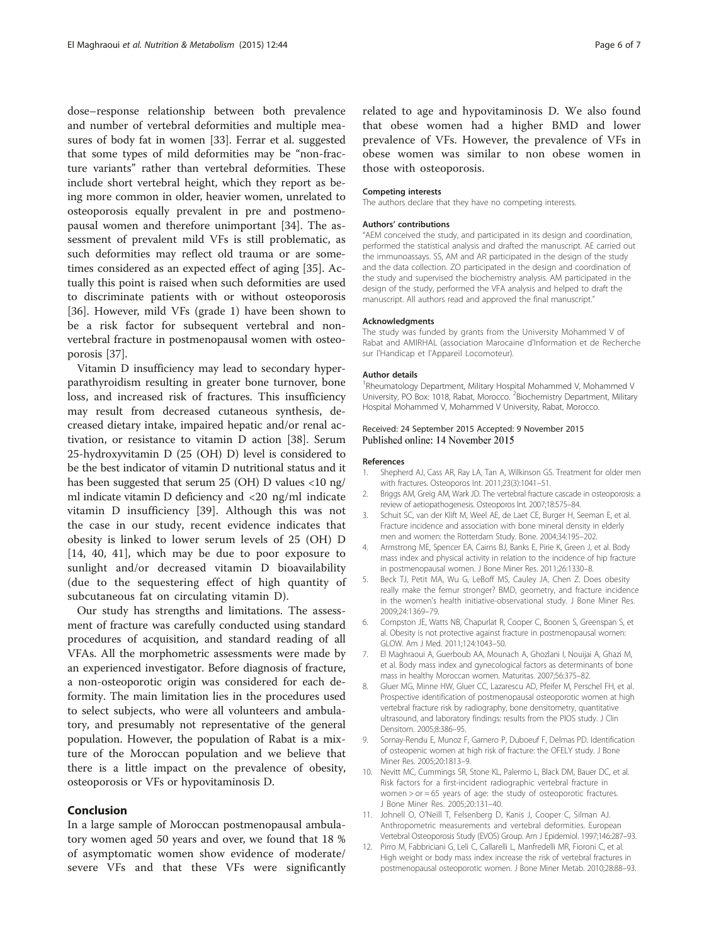<span id="page-5-0"></span>dose–response relationship between both prevalence and number of vertebral deformities and multiple measures of body fat in women [[33](#page-6-0)]. Ferrar et al. suggested that some types of mild deformities may be "non-fracture variants" rather than vertebral deformities. These include short vertebral height, which they report as being more common in older, heavier women, unrelated to osteoporosis equally prevalent in pre and postmenopausal women and therefore unimportant [\[34](#page-6-0)]. The assessment of prevalent mild VFs is still problematic, as such deformities may reflect old trauma or are sometimes considered as an expected effect of aging [\[35](#page-6-0)]. Actually this point is raised when such deformities are used to discriminate patients with or without osteoporosis [[36\]](#page-6-0). However, mild VFs (grade 1) have been shown to be a risk factor for subsequent vertebral and nonvertebral fracture in postmenopausal women with osteoporosis [\[37\]](#page-6-0).

Vitamin D insufficiency may lead to secondary hyperparathyroidism resulting in greater bone turnover, bone loss, and increased risk of fractures. This insufficiency may result from decreased cutaneous synthesis, decreased dietary intake, impaired hepatic and/or renal activation, or resistance to vitamin D action [\[38](#page-6-0)]. Serum 25-hydroxyvitamin D (25 (OH) D) level is considered to be the best indicator of vitamin D nutritional status and it has been suggested that serum 25 (OH) D values <10 ng/ ml indicate vitamin D deficiency and <20 ng/ml indicate vitamin D insufficiency [\[39](#page-6-0)]. Although this was not the case in our study, recent evidence indicates that obesity is linked to lower serum levels of 25 (OH) D [[14, 40](#page-6-0), [41](#page-6-0)], which may be due to poor exposure to sunlight and/or decreased vitamin D bioavailability (due to the sequestering effect of high quantity of subcutaneous fat on circulating vitamin D).

Our study has strengths and limitations. The assessment of fracture was carefully conducted using standard procedures of acquisition, and standard reading of all VFAs. All the morphometric assessments were made by an experienced investigator. Before diagnosis of fracture, a non-osteoporotic origin was considered for each deformity. The main limitation lies in the procedures used to select subjects, who were all volunteers and ambulatory, and presumably not representative of the general population. However, the population of Rabat is a mixture of the Moroccan population and we believe that there is a little impact on the prevalence of obesity, osteoporosis or VFs or hypovitaminosis D.

#### Conclusion

In a large sample of Moroccan postmenopausal ambulatory women aged 50 years and over, we found that 18 % of asymptomatic women show evidence of moderate/ severe VFs and that these VFs were significantly related to age and hypovitaminosis D. We also found that obese women had a higher BMD and lower prevalence of VFs. However, the prevalence of VFs in obese women was similar to non obese women in those with osteoporosis.

## Competing interests

The authors declare that they have no competing interests.

#### Authors' contributions

"AEM conceived the study, and participated in its design and coordination, performed the statistical analysis and drafted the manuscript. AE carried out the immunoassays. SS, AM and AR participated in the design of the study and the data collection. ZO participated in the design and coordination of the study and supervised the biochemistry analysis. AM participated in the design of the study, performed the VFA analysis and helped to draft the manuscript. All authors read and approved the final manuscript."

#### Acknowledgments

The study was funded by grants from the University Mohammed V of Rabat and AMIRHAL (association Marocaine d'Information et de Recherche sur l'Handicap et l'Appareil Locomoteur).

#### Author details

1 Rheumatology Department, Military Hospital Mohammed V, Mohammed V University, PO Box: 1018, Rabat, Morocco. <sup>2</sup>Biochemistry Department, Military Hospital Mohammed V, Mohammed V University, Rabat, Morocco.

#### Received: 24 September 2015 Accepted: 9 November 2015 Published online: 14 November 2015

#### References

- 1. Shepherd AJ, Cass AR, Ray LA, Tan A, Wilkinson GS. Treatment for older men with fractures. Osteoporos Int. 2011;23(3):1041–51.
- 2. Briggs AM, Greig AM, Wark JD. The vertebral fracture cascade in osteoporosis: a review of aetiopathogenesis. Osteoporos Int. 2007;18:575–84.
- 3. Schuit SC, van der Klift M, Weel AE, de Laet CE, Burger H, Seeman E, et al. Fracture incidence and association with bone mineral density in elderly men and women: the Rotterdam Study. Bone. 2004;34:195–202.
- 4. Armstrong ME, Spencer EA, Cairns BJ, Banks E, Pirie K, Green J, et al. Body mass index and physical activity in relation to the incidence of hip fracture in postmenopausal women. J Bone Miner Res. 2011;26:1330–8.
- 5. Beck TJ, Petit MA, Wu G, LeBoff MS, Cauley JA, Chen Z. Does obesity really make the femur stronger? BMD, geometry, and fracture incidence in the women's health initiative-observational study. J Bone Miner Res. 2009;24:1369–79.
- 6. Compston JE, Watts NB, Chapurlat R, Cooper C, Boonen S, Greenspan S, et al. Obesity is not protective against fracture in postmenopausal women: GLOW. Am J Med. 2011;124:1043–50.
- 7. El Maghraoui A, Guerboub AA, Mounach A, Ghozlani I, Nouijai A, Ghazi M, et al. Body mass index and gynecological factors as determinants of bone mass in healthy Moroccan women. Maturitas. 2007;56:375–82.
- 8. Gluer MG, Minne HW, Gluer CC, Lazarescu AD, Pfeifer M, Perschel FH, et al. Prospective identification of postmenopausal osteoporotic women at high vertebral fracture risk by radiography, bone densitometry, quantitative ultrasound, and laboratory findings: results from the PIOS study. J Clin Densitom. 2005;8:386–95.
- 9. Sornay-Rendu E, Munoz F, Garnero P, Duboeuf F, Delmas PD. Identification of osteopenic women at high risk of fracture: the OFELY study. J Bone Miner Res. 2005;20:1813–9.
- 10. Nevitt MC, Cummings SR, Stone KL, Palermo L, Black DM, Bauer DC, et al. Risk factors for a first-incident radiographic vertebral fracture in women > or = 65 years of age: the study of osteoporotic fractures. J Bone Miner Res. 2005;20:131–40.
- 11. Johnell O, O'Neill T, Felsenberg D, Kanis J, Cooper C, Silman AJ. Anthropometric measurements and vertebral deformities. European Vertebral Osteoporosis Study (EVOS) Group. Am J Epidemiol. 1997;146:287–93.
- 12. Pirro M, Fabbriciani G, Leli C, Callarelli L, Manfredelli MR, Fioroni C, et al. High weight or body mass index increase the risk of vertebral fractures in postmenopausal osteoporotic women. J Bone Miner Metab. 2010;28:88–93.